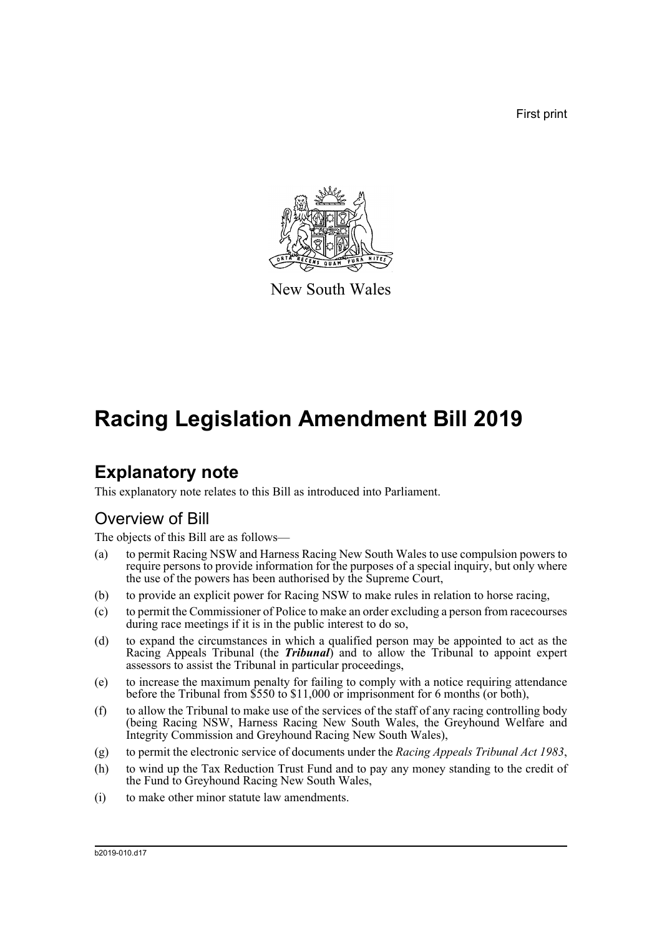First print



New South Wales

# **Racing Legislation Amendment Bill 2019**

## **Explanatory note**

This explanatory note relates to this Bill as introduced into Parliament.

## Overview of Bill

The objects of this Bill are as follows—

- (a) to permit Racing NSW and Harness Racing New South Wales to use compulsion powers to require persons to provide information for the purposes of a special inquiry, but only where the use of the powers has been authorised by the Supreme Court,
- (b) to provide an explicit power for Racing NSW to make rules in relation to horse racing,
- (c) to permit the Commissioner of Police to make an order excluding a person from racecourses during race meetings if it is in the public interest to do so,
- (d) to expand the circumstances in which a qualified person may be appointed to act as the Racing Appeals Tribunal (the *Tribunal*) and to allow the Tribunal to appoint expert assessors to assist the Tribunal in particular proceedings,
- (e) to increase the maximum penalty for failing to comply with a notice requiring attendance before the Tribunal from \$550 to \$11,000 or imprisonment for 6 months (or both),
- (f) to allow the Tribunal to make use of the services of the staff of any racing controlling body (being Racing NSW, Harness Racing New South Wales, the Greyhound Welfare and Integrity Commission and Greyhound Racing New South Wales),
- (g) to permit the electronic service of documents under the *Racing Appeals Tribunal Act 1983*,
- (h) to wind up the Tax Reduction Trust Fund and to pay any money standing to the credit of the Fund to Greyhound Racing New South Wales,
- (i) to make other minor statute law amendments.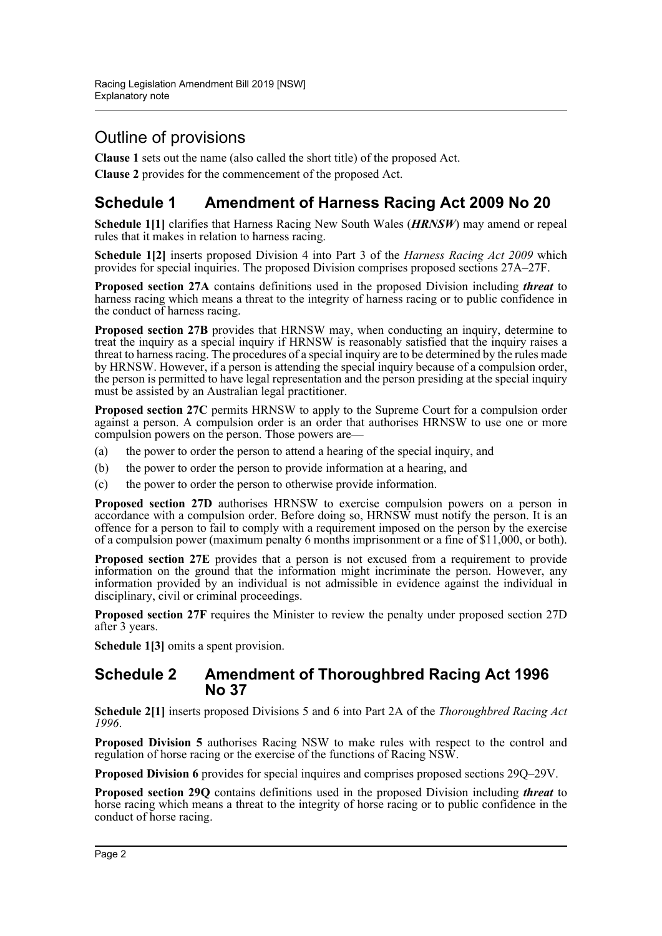## Outline of provisions

**Clause 1** sets out the name (also called the short title) of the proposed Act.

**Clause 2** provides for the commencement of the proposed Act.

## **Schedule 1 Amendment of Harness Racing Act 2009 No 20**

**Schedule 1[1]** clarifies that Harness Racing New South Wales (*HRNSW*) may amend or repeal rules that it makes in relation to harness racing.

**Schedule 1[2]** inserts proposed Division 4 into Part 3 of the *Harness Racing Act 2009* which provides for special inquiries. The proposed Division comprises proposed sections 27A–27F.

**Proposed section 27A** contains definitions used in the proposed Division including *threat* to harness racing which means a threat to the integrity of harness racing or to public confidence in the conduct of harness racing.

**Proposed section 27B** provides that HRNSW may, when conducting an inquiry, determine to treat the inquiry as a special inquiry if HRNSW is reasonably satisfied that the inquiry raises a threat to harness racing. The procedures of a special inquiry are to be determined by the rules made by HRNSW. However, if a person is attending the special inquiry because of a compulsion order, the person is permitted to have legal representation and the person presiding at the special inquiry must be assisted by an Australian legal practitioner.

**Proposed section 27C** permits HRNSW to apply to the Supreme Court for a compulsion order against a person. A compulsion order is an order that authorises HRNSW to use one or more compulsion powers on the person. Those powers are—

- (a) the power to order the person to attend a hearing of the special inquiry, and
- (b) the power to order the person to provide information at a hearing, and
- (c) the power to order the person to otherwise provide information.

**Proposed section 27D** authorises HRNSW to exercise compulsion powers on a person in accordance with a compulsion order. Before doing so, HRNSW must notify the person. It is an offence for a person to fail to comply with a requirement imposed on the person by the exercise of a compulsion power (maximum penalty 6 months imprisonment or a fine of \$11,000, or both).

**Proposed section 27E** provides that a person is not excused from a requirement to provide information on the ground that the information might incriminate the person. However, any information provided by an individual is not admissible in evidence against the individual in disciplinary, civil or criminal proceedings.

**Proposed section 27F** requires the Minister to review the penalty under proposed section 27D after 3 years.

**Schedule 1[3]** omits a spent provision.

#### **Schedule 2 Amendment of Thoroughbred Racing Act 1996 No 37**

**Schedule 2[1]** inserts proposed Divisions 5 and 6 into Part 2A of the *Thoroughbred Racing Act 1996*.

**Proposed Division 5** authorises Racing NSW to make rules with respect to the control and regulation of horse racing or the exercise of the functions of Racing NSW.

**Proposed Division 6** provides for special inquires and comprises proposed sections 29Q–29V.

**Proposed section 29Q** contains definitions used in the proposed Division including *threat* to horse racing which means a threat to the integrity of horse racing or to public confidence in the conduct of horse racing.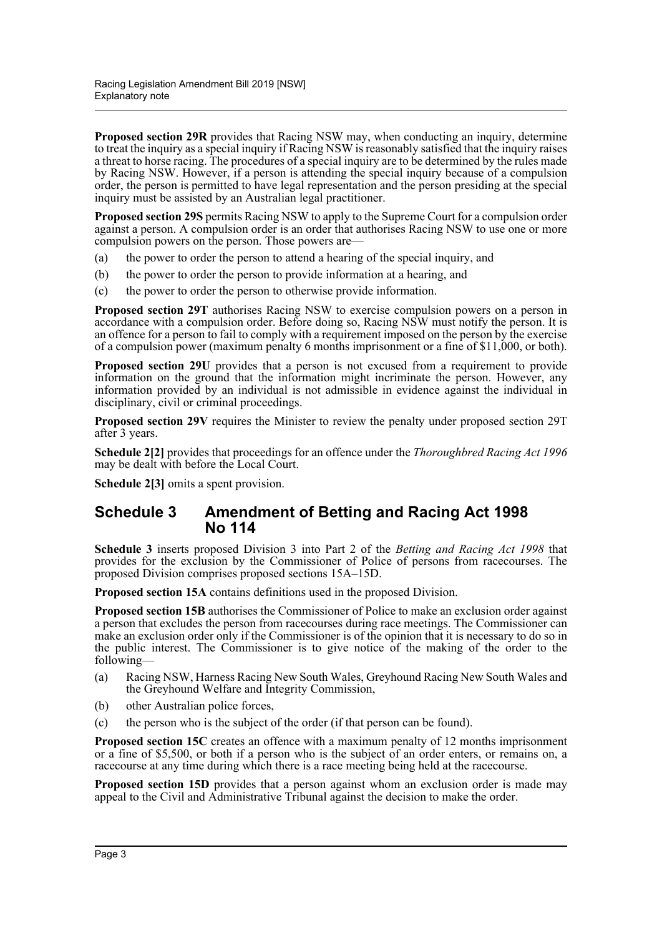**Proposed section 29R** provides that Racing NSW may, when conducting an inquiry, determine to treat the inquiry as a special inquiry if Racing NSW is reasonably satisfied that the inquiry raises a threat to horse racing. The procedures of a special inquiry are to be determined by the rules made by Racing NSW. However, if a person is attending the special inquiry because of a compulsion order, the person is permitted to have legal representation and the person presiding at the special inquiry must be assisted by an Australian legal practitioner.

**Proposed section 29S** permits Racing NSW to apply to the Supreme Court for a compulsion order against a person. A compulsion order is an order that authorises Racing NSW to use one or more compulsion powers on the person. Those powers are—

- (a) the power to order the person to attend a hearing of the special inquiry, and
- (b) the power to order the person to provide information at a hearing, and
- (c) the power to order the person to otherwise provide information.

**Proposed section 29T** authorises Racing NSW to exercise compulsion powers on a person in accordance with a compulsion order. Before doing so, Racing NSW must notify the person. It is an offence for a person to fail to comply with a requirement imposed on the person by the exercise of a compulsion power (maximum penalty 6 months imprisonment or a fine of \$11,000, or both).

**Proposed section 29U** provides that a person is not excused from a requirement to provide information on the ground that the information might incriminate the person. However, any information provided by an individual is not admissible in evidence against the individual in disciplinary, civil or criminal proceedings.

**Proposed section 29V** requires the Minister to review the penalty under proposed section 29T after 3 years.

**Schedule 2[2]** provides that proceedings for an offence under the *Thoroughbred Racing Act 1996* may be dealt with before the Local Court.

**Schedule 2[3]** omits a spent provision.

#### **Schedule 3 Amendment of Betting and Racing Act 1998 No 114**

**Schedule 3** inserts proposed Division 3 into Part 2 of the *Betting and Racing Act 1998* that provides for the exclusion by the Commissioner of Police of persons from racecourses. The proposed Division comprises proposed sections 15A–15D.

**Proposed section 15A** contains definitions used in the proposed Division.

**Proposed section 15B** authorises the Commissioner of Police to make an exclusion order against a person that excludes the person from racecourses during race meetings. The Commissioner can make an exclusion order only if the Commissioner is of the opinion that it is necessary to do so in the public interest. The Commissioner is to give notice of the making of the order to the following—

- (a) Racing NSW, Harness Racing New South Wales, Greyhound Racing New South Wales and the Greyhound Welfare and Integrity Commission,
- (b) other Australian police forces,
- (c) the person who is the subject of the order (if that person can be found).

**Proposed section 15C** creates an offence with a maximum penalty of 12 months imprisonment or a fine of \$5,500, or both if a person who is the subject of an order enters, or remains on, a racecourse at any time during which there is a race meeting being held at the racecourse.

**Proposed section 15D** provides that a person against whom an exclusion order is made may appeal to the Civil and Administrative Tribunal against the decision to make the order.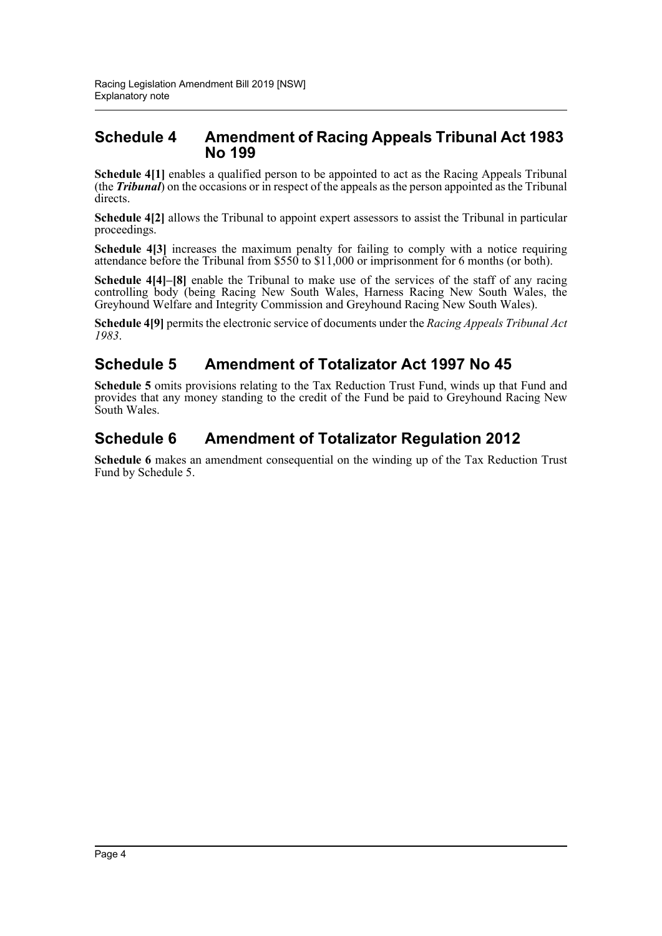### **Schedule 4 Amendment of Racing Appeals Tribunal Act 1983 No 199**

**Schedule 4[1]** enables a qualified person to be appointed to act as the Racing Appeals Tribunal (the *Tribunal*) on the occasions or in respect of the appeals as the person appointed as the Tribunal directs.

**Schedule 4[2]** allows the Tribunal to appoint expert assessors to assist the Tribunal in particular proceedings.

**Schedule 4[3]** increases the maximum penalty for failing to comply with a notice requiring attendance before the Tribunal from \$550 to \$11,000 or imprisonment for 6 months (or both).

**Schedule 4[4]–[8]** enable the Tribunal to make use of the services of the staff of any racing controlling body (being Racing New South Wales, Harness Racing New South Wales, the Greyhound Welfare and Integrity Commission and Greyhound Racing New South Wales).

**Schedule 4[9]** permits the electronic service of documents under the *Racing Appeals Tribunal Act 1983*.

## **Schedule 5 Amendment of Totalizator Act 1997 No 45**

**Schedule 5** omits provisions relating to the Tax Reduction Trust Fund, winds up that Fund and provides that any money standing to the credit of the Fund be paid to Greyhound Racing New South Wales.

## **Schedule 6 Amendment of Totalizator Regulation 2012**

**Schedule 6** makes an amendment consequential on the winding up of the Tax Reduction Trust Fund by Schedule 5.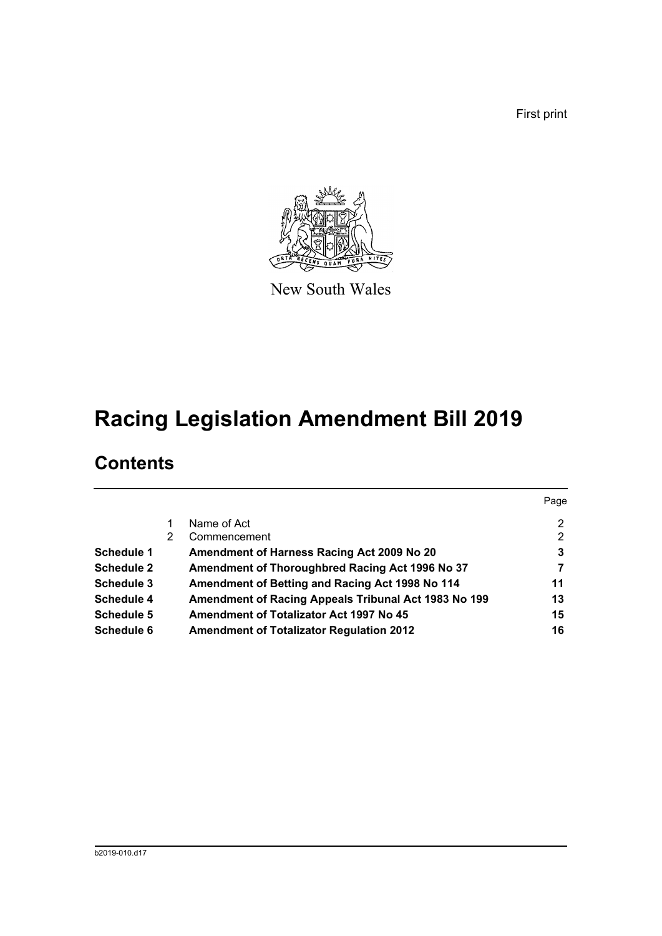First print



New South Wales

# **Racing Legislation Amendment Bill 2019**

## **Contents**

|                   |   |                                                      | Page |
|-------------------|---|------------------------------------------------------|------|
|                   |   | Name of Act                                          | 2    |
|                   | 2 | Commencement                                         | 2    |
| Schedule 1        |   | Amendment of Harness Racing Act 2009 No 20           | 3    |
| <b>Schedule 2</b> |   | Amendment of Thoroughbred Racing Act 1996 No 37      |      |
| Schedule 3        |   | Amendment of Betting and Racing Act 1998 No 114      | 11   |
| Schedule 4        |   | Amendment of Racing Appeals Tribunal Act 1983 No 199 | 13   |
| Schedule 5        |   | <b>Amendment of Totalizator Act 1997 No 45</b>       | 15   |
| Schedule 6        |   | <b>Amendment of Totalizator Regulation 2012</b>      | 16   |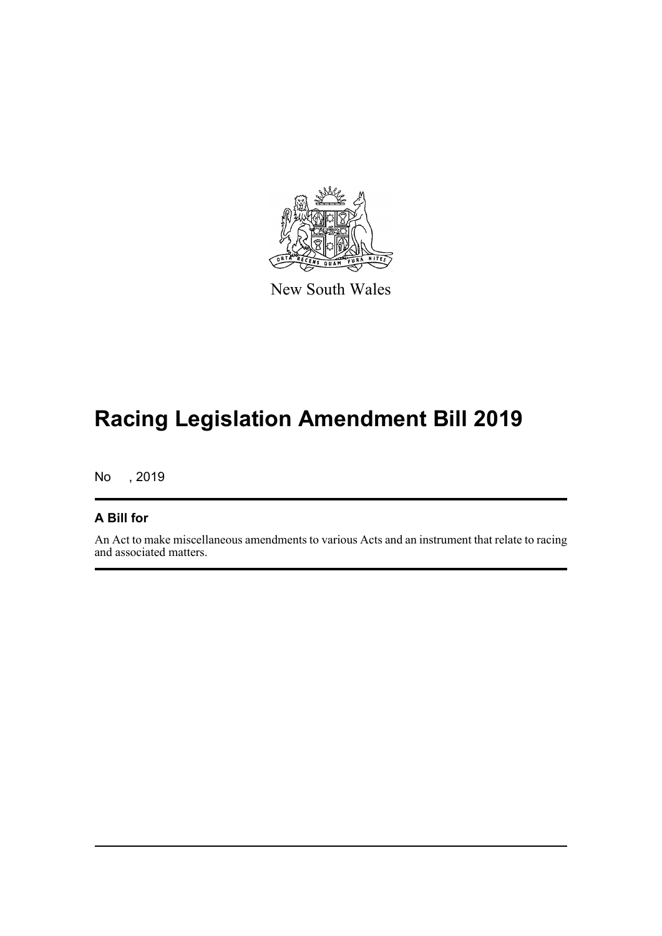

New South Wales

# **Racing Legislation Amendment Bill 2019**

No , 2019

#### **A Bill for**

An Act to make miscellaneous amendments to various Acts and an instrument that relate to racing and associated matters.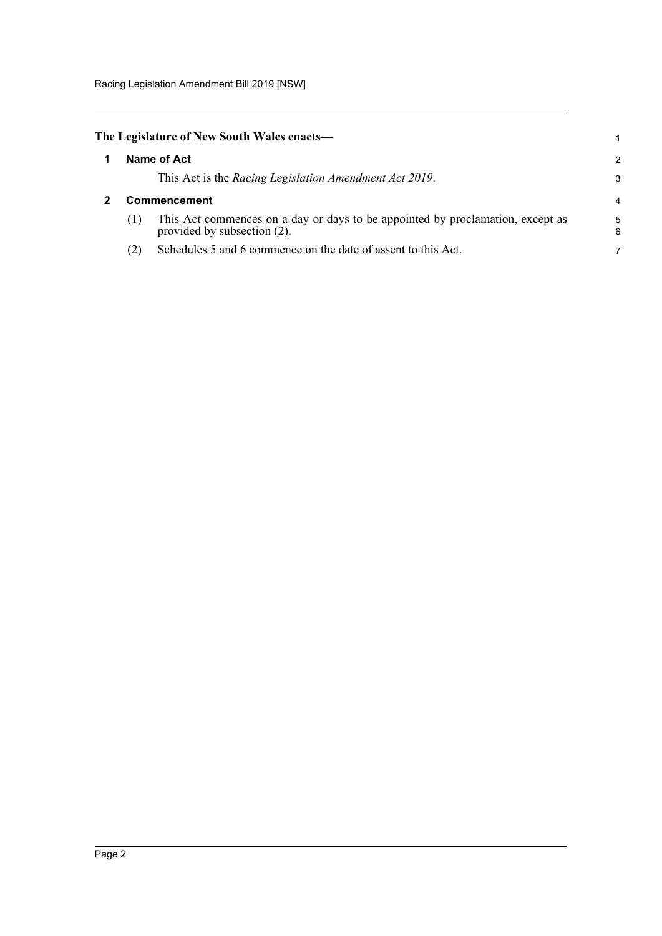<span id="page-6-1"></span><span id="page-6-0"></span>

| The Legislature of New South Wales enacts— |              |                                                                                                               |        |  |  |  |  |
|--------------------------------------------|--------------|---------------------------------------------------------------------------------------------------------------|--------|--|--|--|--|
|                                            | Name of Act  |                                                                                                               |        |  |  |  |  |
|                                            |              | This Act is the Racing Legislation Amendment Act 2019.                                                        | 3      |  |  |  |  |
|                                            | Commencement |                                                                                                               |        |  |  |  |  |
|                                            | (1)          | This Act commences on a day or days to be appointed by proclamation, except as<br>provided by subsection (2). | 5<br>6 |  |  |  |  |
|                                            | (2)          | Schedules 5 and 6 commence on the date of assent to this Act.                                                 |        |  |  |  |  |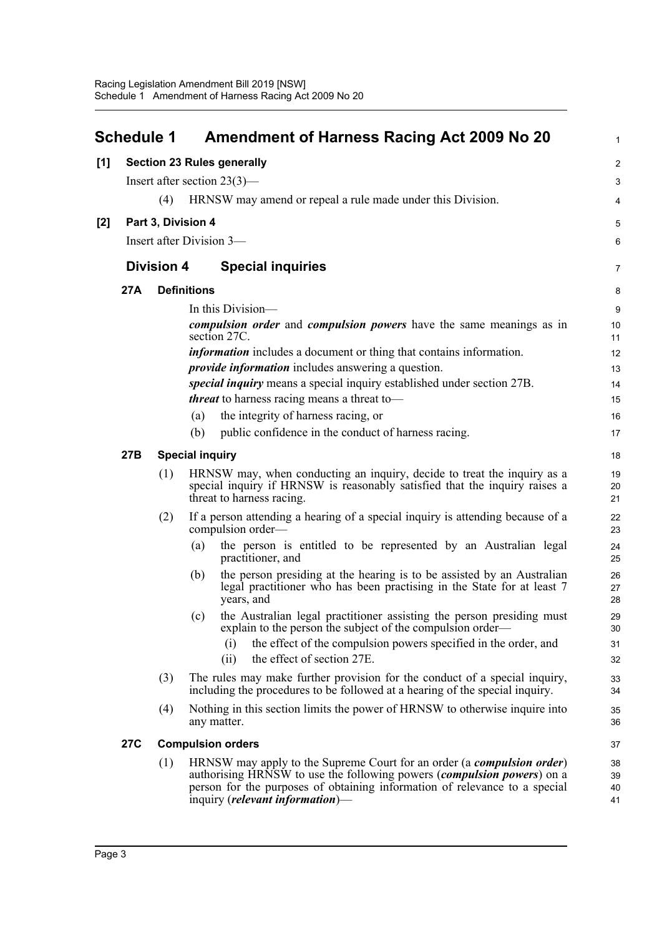<span id="page-7-0"></span>

|     | <b>Schedule 1</b> |                   | Amendment of Harness Racing Act 2009 No 20                                                                                                                                         | $\mathbf{1}$          |
|-----|-------------------|-------------------|------------------------------------------------------------------------------------------------------------------------------------------------------------------------------------|-----------------------|
| [1] |                   |                   | <b>Section 23 Rules generally</b>                                                                                                                                                  | $\overline{2}$        |
|     |                   |                   | Insert after section $23(3)$ —                                                                                                                                                     | 3                     |
|     |                   | (4)               | HRNSW may amend or repeal a rule made under this Division.                                                                                                                         | 4                     |
| [2] |                   |                   | Part 3, Division 4                                                                                                                                                                 | 5                     |
|     |                   |                   | Insert after Division 3-                                                                                                                                                           | 6                     |
|     |                   | <b>Division 4</b> | <b>Special inquiries</b>                                                                                                                                                           | $\overline{7}$        |
|     | 27A               |                   | <b>Definitions</b>                                                                                                                                                                 | 8                     |
|     |                   |                   | In this Division-                                                                                                                                                                  | 9                     |
|     |                   |                   | <i>compulsion order</i> and <i>compulsion powers</i> have the same meanings as in<br>section 27C.                                                                                  | 10 <sup>1</sup><br>11 |
|     |                   |                   | <i>information</i> includes a document or thing that contains information.                                                                                                         | 12                    |
|     |                   |                   | <i>provide information</i> includes answering a question.                                                                                                                          | 13                    |
|     |                   |                   | special inquiry means a special inquiry established under section 27B.                                                                                                             | 14                    |
|     |                   |                   | <i>threat</i> to harness racing means a threat to-                                                                                                                                 | 15                    |
|     |                   |                   | the integrity of harness racing, or<br>(a)                                                                                                                                         | 16                    |
|     |                   |                   | public confidence in the conduct of harness racing.<br>(b)                                                                                                                         | 17                    |
|     | 27B               |                   | <b>Special inquiry</b>                                                                                                                                                             | 18                    |
|     |                   | (1)               | HRNSW may, when conducting an inquiry, decide to treat the inquiry as a<br>special inquiry if HRNSW is reasonably satisfied that the inquiry raises a<br>threat to harness racing. | 19<br>20<br>21        |
|     |                   | (2)               | If a person attending a hearing of a special inquiry is attending because of a<br>compulsion order—                                                                                | 22<br>23              |
|     |                   |                   | the person is entitled to be represented by an Australian legal<br>(a)<br>practitioner, and                                                                                        | 24<br>25              |
|     |                   |                   | the person presiding at the hearing is to be assisted by an Australian<br>(b)<br>legal practitioner who has been practising in the State for at least 7<br>years, and              | 26<br>27<br>28        |
|     |                   |                   | the Australian legal practitioner assisting the person presiding must<br>(c)<br>explain to the person the subject of the compulsion order—                                         | 29<br>30              |
|     |                   |                   | the effect of the compulsion powers specified in the order, and<br>(i)<br>the effect of section 27E.<br>(ii)                                                                       | 31<br>32              |
|     |                   | (3)               | The rules may make further provision for the conduct of a special inquiry,<br>including the procedures to be followed at a hearing of the special inquiry.                         | 33<br>34              |
|     |                   | (4)               | Nothing in this section limits the power of HRNSW to otherwise inquire into<br>any matter.                                                                                         | 35<br>36              |
|     | <b>27C</b>        |                   | <b>Compulsion orders</b>                                                                                                                                                           | 37                    |
|     |                   | (1)               | HRNSW may apply to the Supreme Court for an order (a <i>compulsion order</i> )                                                                                                     | 38                    |
|     |                   |                   | authorising HRNSW to use the following powers (compulsion powers) on a                                                                                                             | 39                    |
|     |                   |                   | person for the purposes of obtaining information of relevance to a special<br>inquiry ( <i>relevant information</i> )—                                                             | 40<br>41              |
|     |                   |                   |                                                                                                                                                                                    |                       |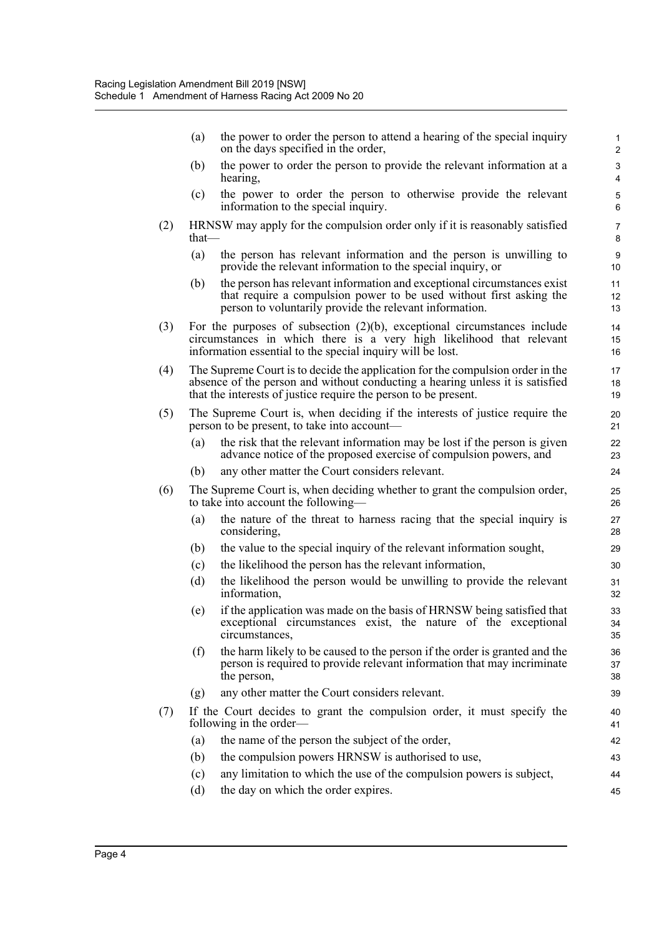|     | (a)      | the power to order the person to attend a hearing of the special inquiry<br>on the days specified in the order,                                                                                                                    | 1<br>$\overline{c}$ |
|-----|----------|------------------------------------------------------------------------------------------------------------------------------------------------------------------------------------------------------------------------------------|---------------------|
|     | (b)      | the power to order the person to provide the relevant information at a<br>hearing,                                                                                                                                                 | 3<br>$\overline{4}$ |
|     | (c)      | the power to order the person to otherwise provide the relevant<br>information to the special inquiry.                                                                                                                             | 5<br>6              |
| (2) | that $-$ | HRNSW may apply for the compulsion order only if it is reasonably satisfied                                                                                                                                                        | 7<br>8              |
|     | (a)      | the person has relevant information and the person is unwilling to<br>provide the relevant information to the special inquiry, or                                                                                                  | 9<br>10             |
|     | (b)      | the person has relevant information and exceptional circumstances exist<br>that require a compulsion power to be used without first asking the<br>person to voluntarily provide the relevant information.                          | 11<br>12<br>13      |
| (3) |          | For the purposes of subsection $(2)(b)$ , exceptional circumstances include<br>circumstances in which there is a very high likelihood that relevant<br>information essential to the special inquiry will be lost.                  | 14<br>15<br>16      |
| (4) |          | The Supreme Court is to decide the application for the compulsion order in the<br>absence of the person and without conducting a hearing unless it is satisfied<br>that the interests of justice require the person to be present. | 17<br>18<br>19      |
| (5) |          | The Supreme Court is, when deciding if the interests of justice require the<br>person to be present, to take into account—                                                                                                         | 20<br>21            |
|     | (a)      | the risk that the relevant information may be lost if the person is given<br>advance notice of the proposed exercise of compulsion powers, and                                                                                     | 22<br>23            |
|     | (b)      | any other matter the Court considers relevant.                                                                                                                                                                                     | 24                  |
| (6) |          | The Supreme Court is, when deciding whether to grant the compulsion order,<br>to take into account the following—                                                                                                                  | 25<br>26            |
|     | (a)      | the nature of the threat to harness racing that the special inquiry is<br>considering,                                                                                                                                             | 27<br>28            |
|     | (b)      | the value to the special inquiry of the relevant information sought,                                                                                                                                                               | 29                  |
|     | (c)      | the likelihood the person has the relevant information,                                                                                                                                                                            | 30                  |
|     | (d)      | the likelihood the person would be unwilling to provide the relevant<br>information,                                                                                                                                               | 31<br>32            |
|     | (e)      | if the application was made on the basis of HRNSW being satisfied that<br>exceptional circumstances exist, the nature of the exceptional<br>circumstances,                                                                         | 33<br>34<br>35      |
|     | (f)      | the harm likely to be caused to the person if the order is granted and the<br>person is required to provide relevant information that may incriminate<br>the person,                                                               | 36<br>37<br>38      |
|     | (g)      | any other matter the Court considers relevant.                                                                                                                                                                                     | 39                  |
| (7) |          | If the Court decides to grant the compulsion order, it must specify the<br>following in the order—                                                                                                                                 | 40<br>41            |
|     | (a)      | the name of the person the subject of the order,                                                                                                                                                                                   | 42                  |
|     | (b)      | the compulsion powers HRNSW is authorised to use,                                                                                                                                                                                  | 43                  |
|     | (c)      | any limitation to which the use of the compulsion powers is subject,                                                                                                                                                               | 44                  |
|     | (d)      | the day on which the order expires.                                                                                                                                                                                                | 45                  |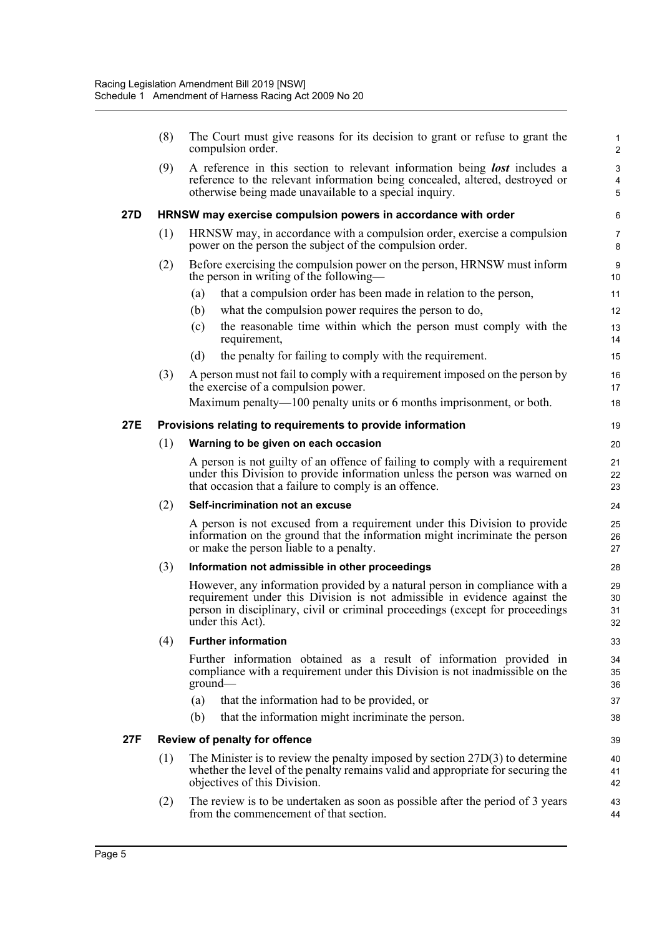|     | (8) | The Court must give reasons for its decision to grant or refuse to grant the<br>compulsion order.                                                                                                                                                            | 1<br>$\overline{c}$  |
|-----|-----|--------------------------------------------------------------------------------------------------------------------------------------------------------------------------------------------------------------------------------------------------------------|----------------------|
|     | (9) | A reference in this section to relevant information being <b>lost</b> includes a<br>reference to the relevant information being concealed, altered, destroyed or<br>otherwise being made unavailable to a special inquiry.                                   | 3<br>4<br>5          |
| 27D |     | HRNSW may exercise compulsion powers in accordance with order                                                                                                                                                                                                | 6                    |
|     | (1) | HRNSW may, in accordance with a compulsion order, exercise a compulsion<br>power on the person the subject of the compulsion order.                                                                                                                          | $\overline{7}$<br>8  |
|     | (2) | Before exercising the compulsion power on the person, HRNSW must inform<br>the person in writing of the following—                                                                                                                                           | 9<br>10              |
|     |     | that a compulsion order has been made in relation to the person,<br>(a)                                                                                                                                                                                      | 11                   |
|     |     | what the compulsion power requires the person to do,<br>(b)                                                                                                                                                                                                  | 12                   |
|     |     | the reasonable time within which the person must comply with the<br>(c)<br>requirement,                                                                                                                                                                      | 13<br>14             |
|     |     | (d)<br>the penalty for failing to comply with the requirement.                                                                                                                                                                                               | 15                   |
|     | (3) | A person must not fail to comply with a requirement imposed on the person by<br>the exercise of a compulsion power.                                                                                                                                          | 16<br>17             |
|     |     | Maximum penalty—100 penalty units or 6 months imprisonment, or both.                                                                                                                                                                                         | 18                   |
| 27E |     | Provisions relating to requirements to provide information                                                                                                                                                                                                   | 19                   |
|     | (1) | Warning to be given on each occasion                                                                                                                                                                                                                         | 20                   |
|     |     | A person is not guilty of an offence of failing to comply with a requirement<br>under this Division to provide information unless the person was warned on<br>that occasion that a failure to comply is an offence.                                          | 21<br>22<br>23       |
|     | (2) | Self-incrimination not an excuse                                                                                                                                                                                                                             | 24                   |
|     |     | A person is not excused from a requirement under this Division to provide<br>information on the ground that the information might incriminate the person<br>or make the person liable to a penalty.                                                          | 25<br>26<br>27       |
|     | (3) | Information not admissible in other proceedings                                                                                                                                                                                                              | 28                   |
|     |     | However, any information provided by a natural person in compliance with a<br>requirement under this Division is not admissible in evidence against the<br>person in disciplinary, civil or criminal proceedings (except for proceedings<br>under this Act). | 29<br>30<br>31<br>32 |
|     | (4) | <b>Further information</b>                                                                                                                                                                                                                                   | 33                   |
|     |     | Further information obtained as a result of information provided in<br>compliance with a requirement under this Division is not inadmissible on the<br>ground                                                                                                | 34<br>35<br>36       |
|     |     | that the information had to be provided, or<br>(a)                                                                                                                                                                                                           | 37                   |
|     |     | that the information might incriminate the person.<br>(b)                                                                                                                                                                                                    | 38                   |
| 27F |     | Review of penalty for offence                                                                                                                                                                                                                                | 39                   |
|     | (1) | The Minister is to review the penalty imposed by section $27D(3)$ to determine<br>whether the level of the penalty remains valid and appropriate for securing the<br>objectives of this Division.                                                            | 40<br>41<br>42       |
|     | (2) | The review is to be undertaken as soon as possible after the period of 3 years<br>from the commencement of that section.                                                                                                                                     | 43<br>44             |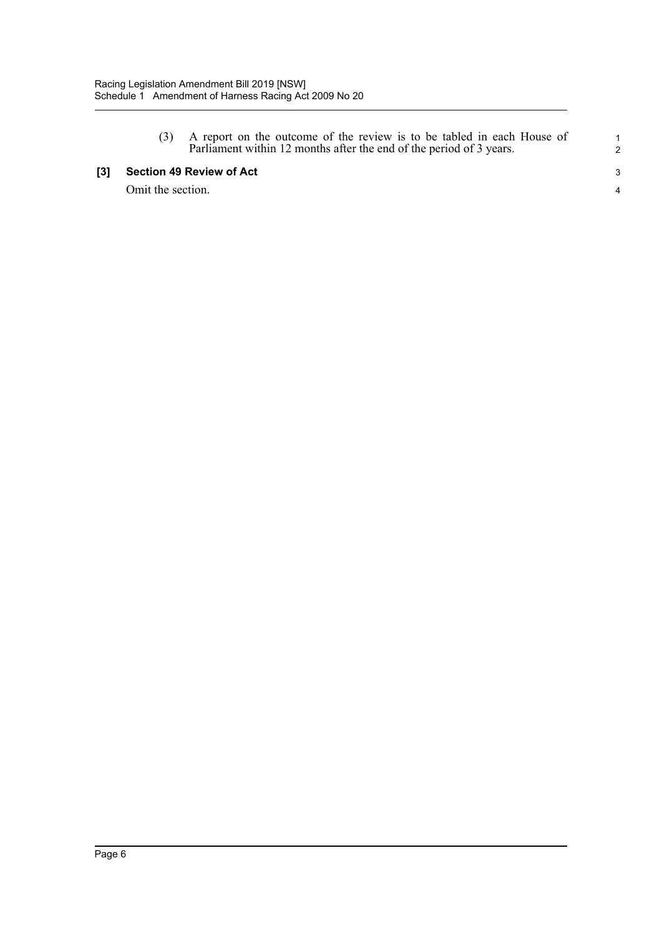| (3) A report on the outcome of the review is to be tabled in each House of |  |  |  |  |  |  |  |
|----------------------------------------------------------------------------|--|--|--|--|--|--|--|
| Parliament within 12 months after the end of the period of 3 years.        |  |  |  |  |  |  |  |

#### **[3] Section 49 Review of Act**

Omit the section.

1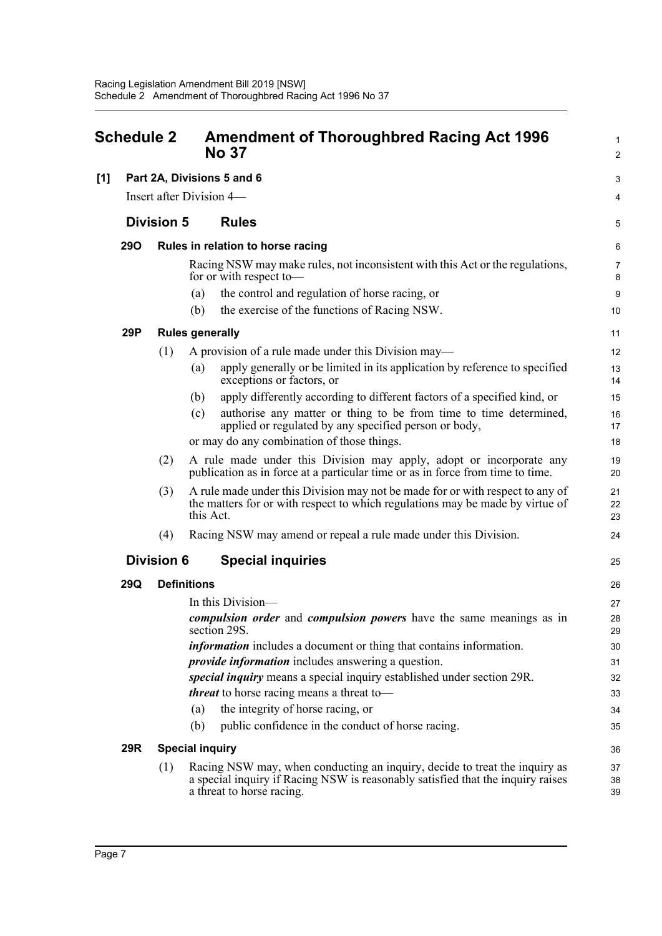<span id="page-11-0"></span>

| <b>Schedule 2</b> |            |                   | <b>Amendment of Thoroughbred Racing Act 1996</b><br><b>No 37</b>                                                                                                                           |                     |  |  |  |
|-------------------|------------|-------------------|--------------------------------------------------------------------------------------------------------------------------------------------------------------------------------------------|---------------------|--|--|--|
| [1]               |            |                   | Part 2A, Divisions 5 and 6                                                                                                                                                                 | 3                   |  |  |  |
|                   |            |                   | Insert after Division 4—                                                                                                                                                                   | 4                   |  |  |  |
|                   |            | <b>Division 5</b> | <b>Rules</b>                                                                                                                                                                               | 5                   |  |  |  |
|                   | <b>290</b> |                   | Rules in relation to horse racing                                                                                                                                                          | 6                   |  |  |  |
|                   |            |                   | Racing NSW may make rules, not inconsistent with this Act or the regulations,<br>for or with respect to-                                                                                   | $\overline{7}$<br>8 |  |  |  |
|                   |            |                   | the control and regulation of horse racing, or<br>(a)                                                                                                                                      | 9                   |  |  |  |
|                   |            |                   | the exercise of the functions of Racing NSW.<br>(b)                                                                                                                                        | 10                  |  |  |  |
|                   | 29P        |                   | <b>Rules generally</b>                                                                                                                                                                     | 11                  |  |  |  |
|                   |            | (1)               | A provision of a rule made under this Division may—                                                                                                                                        | 12                  |  |  |  |
|                   |            |                   | apply generally or be limited in its application by reference to specified<br>(a)<br>exceptions or factors, or                                                                             | 13<br>14            |  |  |  |
|                   |            |                   | apply differently according to different factors of a specified kind, or<br>(b)                                                                                                            | 15                  |  |  |  |
|                   |            |                   | authorise any matter or thing to be from time to time determined,<br>(c)<br>applied or regulated by any specified person or body,                                                          | 16<br>17            |  |  |  |
|                   |            |                   | or may do any combination of those things.                                                                                                                                                 | 18                  |  |  |  |
|                   |            | (2)               | A rule made under this Division may apply, adopt or incorporate any<br>publication as in force at a particular time or as in force from time to time.                                      | 19<br>20            |  |  |  |
|                   |            | (3)               | A rule made under this Division may not be made for or with respect to any of<br>the matters for or with respect to which regulations may be made by virtue of<br>this Act.                | 21<br>22<br>23      |  |  |  |
|                   |            | (4)               | Racing NSW may amend or repeal a rule made under this Division.                                                                                                                            | 24                  |  |  |  |
|                   |            | <b>Division 6</b> | <b>Special inquiries</b>                                                                                                                                                                   | 25                  |  |  |  |
|                   | 29Q        |                   | <b>Definitions</b>                                                                                                                                                                         | 26                  |  |  |  |
|                   |            |                   | In this Division—                                                                                                                                                                          | 27                  |  |  |  |
|                   |            |                   | compulsion order and compulsion powers have the same meanings as in<br>section 29S.                                                                                                        | 28<br>29            |  |  |  |
|                   |            |                   | <i>information</i> includes a document or thing that contains information.                                                                                                                 | 30                  |  |  |  |
|                   |            |                   | <i>provide information</i> includes answering a question.                                                                                                                                  | 31                  |  |  |  |
|                   |            |                   | special inquiry means a special inquiry established under section 29R.                                                                                                                     | 32                  |  |  |  |
|                   |            |                   | <i>threat</i> to horse racing means a threat to-                                                                                                                                           | 33                  |  |  |  |
|                   |            |                   | the integrity of horse racing, or<br>(a)                                                                                                                                                   | 34                  |  |  |  |
|                   |            |                   | public confidence in the conduct of horse racing.<br>(b)                                                                                                                                   | 35                  |  |  |  |
|                   | 29R        |                   | <b>Special inquiry</b>                                                                                                                                                                     | 36                  |  |  |  |
|                   |            | (1)               | Racing NSW may, when conducting an inquiry, decide to treat the inquiry as<br>a special inquiry if Racing NSW is reasonably satisfied that the inquiry raises<br>a threat to horse racing. | 37<br>38<br>39      |  |  |  |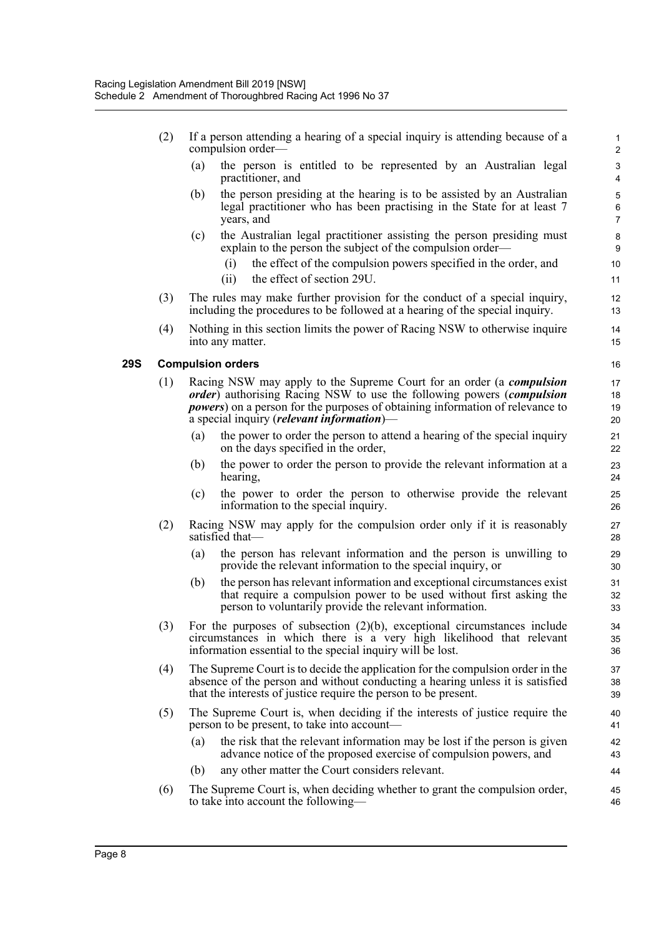- (2) If a person attending a hearing of a special inquiry is attending because of a compulsion order—
	- (a) the person is entitled to be represented by an Australian legal practitioner, and

- (b) the person presiding at the hearing is to be assisted by an Australian legal practitioner who has been practising in the State for at least 7 years, and
- (c) the Australian legal practitioner assisting the person presiding must explain to the person the subject of the compulsion order—
	- (i) the effect of the compulsion powers specified in the order, and
	- (ii) the effect of section 29U.
- (3) The rules may make further provision for the conduct of a special inquiry, including the procedures to be followed at a hearing of the special inquiry.
- (4) Nothing in this section limits the power of Racing NSW to otherwise inquire into any matter.

#### **29S Compulsion orders**

- (1) Racing NSW may apply to the Supreme Court for an order (a *compulsion order*) authorising Racing NSW to use the following powers (*compulsion powers*) on a person for the purposes of obtaining information of relevance to a special inquiry (*relevant information*)—
	- (a) the power to order the person to attend a hearing of the special inquiry on the days specified in the order,
	- (b) the power to order the person to provide the relevant information at a hearing,
	- (c) the power to order the person to otherwise provide the relevant information to the special inquiry.
- (2) Racing NSW may apply for the compulsion order only if it is reasonably satisfied that—
	- (a) the person has relevant information and the person is unwilling to provide the relevant information to the special inquiry, or
	- (b) the person has relevant information and exceptional circumstances exist that require a compulsion power to be used without first asking the person to voluntarily provide the relevant information.
- (3) For the purposes of subsection (2)(b), exceptional circumstances include circumstances in which there is a very high likelihood that relevant information essential to the special inquiry will be lost.
- (4) The Supreme Court is to decide the application for the compulsion order in the absence of the person and without conducting a hearing unless it is satisfied that the interests of justice require the person to be present.
- (5) The Supreme Court is, when deciding if the interests of justice require the person to be present, to take into account—
	- (a) the risk that the relevant information may be lost if the person is given advance notice of the proposed exercise of compulsion powers, and
	- (b) any other matter the Court considers relevant.
- (6) The Supreme Court is, when deciding whether to grant the compulsion order, to take into account the following—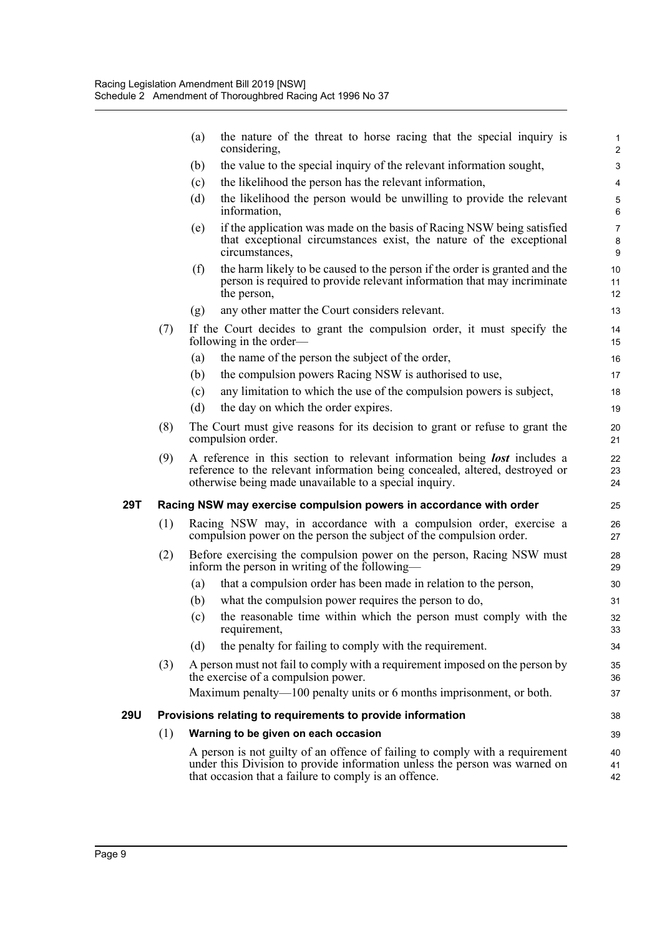|     |     | the nature of the threat to horse racing that the special inquiry is<br>(a)<br>considering,                                                                                                                                | $\mathbf{1}$<br>$\overline{\mathbf{c}}$ |
|-----|-----|----------------------------------------------------------------------------------------------------------------------------------------------------------------------------------------------------------------------------|-----------------------------------------|
|     |     | the value to the special inquiry of the relevant information sought,<br>(b)                                                                                                                                                | 3                                       |
|     |     | the likelihood the person has the relevant information,<br>(c)                                                                                                                                                             | 4                                       |
|     |     | (d)<br>the likelihood the person would be unwilling to provide the relevant<br>information,                                                                                                                                | $\mathbf 5$<br>6                        |
|     |     | if the application was made on the basis of Racing NSW being satisfied<br>(e)<br>that exceptional circumstances exist, the nature of the exceptional<br>circumstances,                                                     | $\overline{7}$<br>8<br>9                |
|     |     | the harm likely to be caused to the person if the order is granted and the<br>(f)<br>person is required to provide relevant information that may incriminate<br>the person,                                                | 10<br>11<br>12                          |
|     |     | any other matter the Court considers relevant.<br>(g)                                                                                                                                                                      | 13                                      |
|     | (7) | If the Court decides to grant the compulsion order, it must specify the<br>following in the order—                                                                                                                         | 14<br>15                                |
|     |     | the name of the person the subject of the order,<br>(a)                                                                                                                                                                    | 16                                      |
|     |     | (b)<br>the compulsion powers Racing NSW is authorised to use,                                                                                                                                                              | 17                                      |
|     |     | (c)<br>any limitation to which the use of the compulsion powers is subject,                                                                                                                                                | 18                                      |
|     |     | (d)<br>the day on which the order expires.                                                                                                                                                                                 | 19                                      |
|     | (8) | The Court must give reasons for its decision to grant or refuse to grant the<br>compulsion order.                                                                                                                          | 20<br>21                                |
|     | (9) | A reference in this section to relevant information being <b>lost</b> includes a<br>reference to the relevant information being concealed, altered, destroyed or<br>otherwise being made unavailable to a special inquiry. | 22<br>23<br>24                          |
| 29T |     | Racing NSW may exercise compulsion powers in accordance with order                                                                                                                                                         | 25                                      |
|     | (1) | Racing NSW may, in accordance with a compulsion order, exercise a<br>compulsion power on the person the subject of the compulsion order.                                                                                   | 26<br>27                                |
|     | (2) | Before exercising the compulsion power on the person, Racing NSW must<br>inform the person in writing of the following—                                                                                                    | 28<br>29                                |
|     |     | that a compulsion order has been made in relation to the person,<br>(a)                                                                                                                                                    | 30                                      |
|     |     | (b)<br>what the compulsion power requires the person to do,                                                                                                                                                                | 31                                      |
|     |     | the reasonable time within which the person must comply with the<br>(c)<br>requirement,                                                                                                                                    | 32<br>33                                |
|     |     | (d)<br>the penalty for failing to comply with the requirement.                                                                                                                                                             | 34                                      |
|     | (3) | A person must not fail to comply with a requirement imposed on the person by<br>the exercise of a compulsion power.                                                                                                        | 35<br>36                                |
|     |     | Maximum penalty—100 penalty units or 6 months imprisonment, or both.                                                                                                                                                       | 37                                      |
| 29U |     | Provisions relating to requirements to provide information                                                                                                                                                                 | 38                                      |
|     | (1) | Warning to be given on each occasion                                                                                                                                                                                       | 39                                      |
|     |     | A person is not guilty of an offence of failing to comply with a requirement<br>under this Division to provide information unless the person was warned on<br>that occasion that a failure to comply is an offence.        | 40<br>41<br>42                          |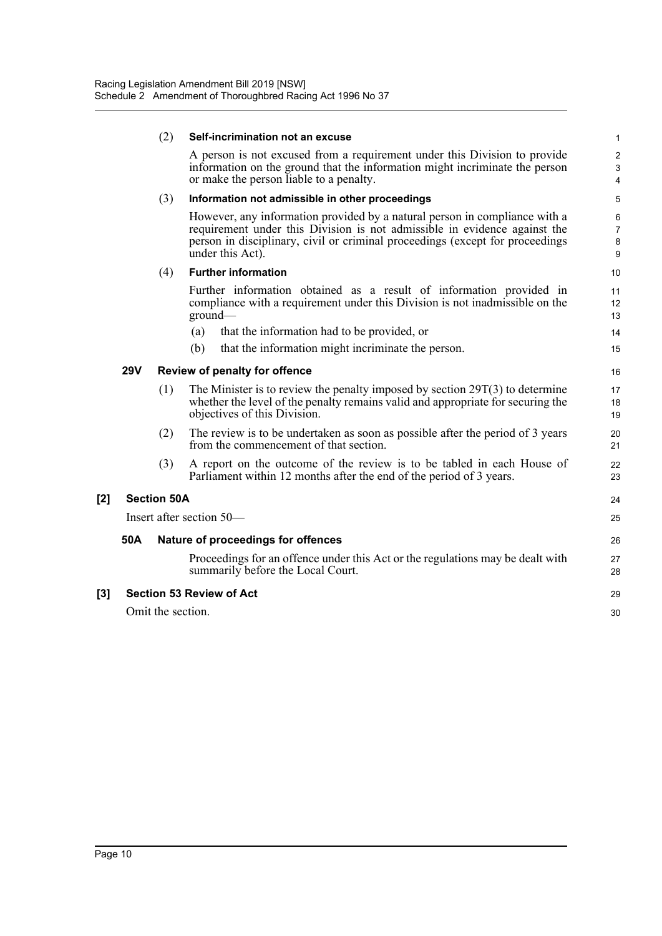|       |            | (2)                | Self-incrimination not an excuse                                                                                                                                                                                                                             | 1                                  |
|-------|------------|--------------------|--------------------------------------------------------------------------------------------------------------------------------------------------------------------------------------------------------------------------------------------------------------|------------------------------------|
|       |            |                    | A person is not excused from a requirement under this Division to provide<br>information on the ground that the information might incriminate the person<br>or make the person liable to a penalty.                                                          | $\overline{2}$<br>$\mathsf 3$<br>4 |
|       |            | (3)                | Information not admissible in other proceedings                                                                                                                                                                                                              | 5                                  |
|       |            |                    | However, any information provided by a natural person in compliance with a<br>requirement under this Division is not admissible in evidence against the<br>person in disciplinary, civil or criminal proceedings (except for proceedings<br>under this Act). | 6<br>$\overline{7}$<br>8<br>9      |
|       |            | (4)                | <b>Further information</b>                                                                                                                                                                                                                                   | 10                                 |
|       |            |                    | Further information obtained as a result of information provided in<br>compliance with a requirement under this Division is not inadmissible on the<br>ground                                                                                                | 11<br>12<br>13                     |
|       |            |                    | that the information had to be provided, or<br>(a)                                                                                                                                                                                                           | 14                                 |
|       |            |                    | that the information might incriminate the person.<br>(b)                                                                                                                                                                                                    | 15                                 |
|       | <b>29V</b> |                    | Review of penalty for offence                                                                                                                                                                                                                                | 16                                 |
|       |            | (1)                | The Minister is to review the penalty imposed by section $29T(3)$ to determine<br>whether the level of the penalty remains valid and appropriate for securing the<br>objectives of this Division.                                                            | 17<br>18<br>19                     |
|       |            | (2)                | The review is to be undertaken as soon as possible after the period of 3 years<br>from the commencement of that section.                                                                                                                                     | 20<br>21                           |
|       |            | (3)                | A report on the outcome of the review is to be tabled in each House of<br>Parliament within 12 months after the end of the period of 3 years.                                                                                                                | 22<br>23                           |
| [2]   |            | <b>Section 50A</b> |                                                                                                                                                                                                                                                              | 24                                 |
|       |            |                    | Insert after section 50-                                                                                                                                                                                                                                     | 25                                 |
|       | 50A        |                    | Nature of proceedings for offences                                                                                                                                                                                                                           | 26                                 |
|       |            |                    | Proceedings for an offence under this Act or the regulations may be dealt with<br>summarily before the Local Court.                                                                                                                                          | 27<br>28                           |
| $[3]$ |            |                    | <b>Section 53 Review of Act</b>                                                                                                                                                                                                                              | 29                                 |
|       |            | Omit the section.  |                                                                                                                                                                                                                                                              | 30                                 |
|       |            |                    |                                                                                                                                                                                                                                                              |                                    |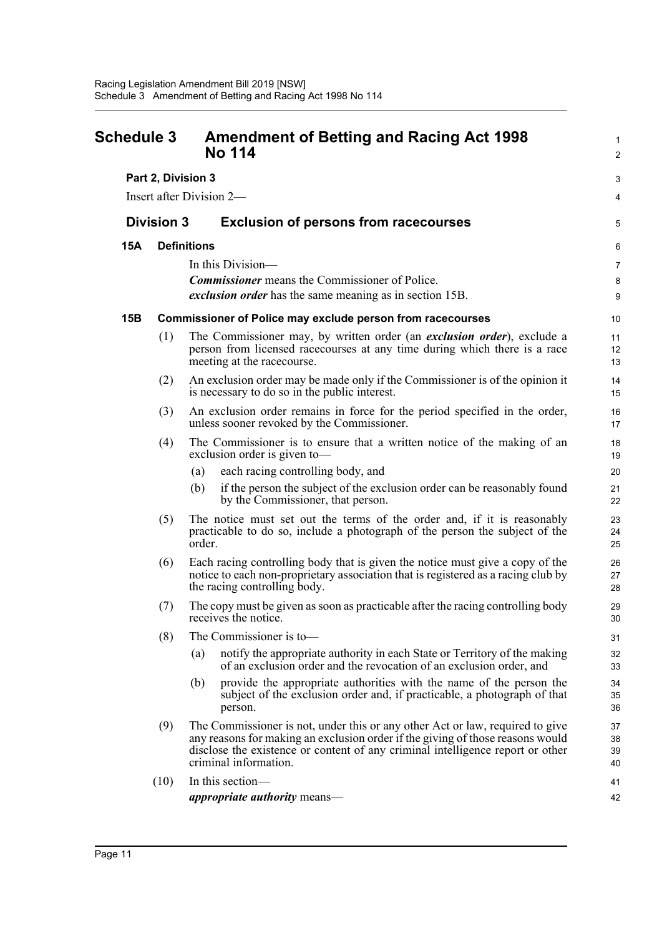<span id="page-15-0"></span>

| <b>Schedule 3</b> |                    | <b>Amendment of Betting and Racing Act 1998</b><br><b>No 114</b>                                                                                                                                                                                                           |                      |  |
|-------------------|--------------------|----------------------------------------------------------------------------------------------------------------------------------------------------------------------------------------------------------------------------------------------------------------------------|----------------------|--|
|                   | Part 2, Division 3 |                                                                                                                                                                                                                                                                            | 3                    |  |
|                   |                    | Insert after Division 2—                                                                                                                                                                                                                                                   | 4                    |  |
| <b>Division 3</b> |                    | <b>Exclusion of persons from racecourses</b>                                                                                                                                                                                                                               | 5                    |  |
| <b>15A</b>        |                    | <b>Definitions</b>                                                                                                                                                                                                                                                         | 6                    |  |
|                   |                    | In this Division-                                                                                                                                                                                                                                                          | 7                    |  |
|                   |                    | <b>Commissioner</b> means the Commissioner of Police.                                                                                                                                                                                                                      | 8                    |  |
|                   |                    | <i>exclusion order</i> has the same meaning as in section 15B.                                                                                                                                                                                                             | 9                    |  |
| 15B               |                    | <b>Commissioner of Police may exclude person from racecourses</b>                                                                                                                                                                                                          | 10                   |  |
|                   | (1)                | The Commissioner may, by written order (an exclusion order), exclude a<br>person from licensed racecourses at any time during which there is a race<br>meeting at the racecourse.                                                                                          | 11<br>12<br>13       |  |
|                   | (2)                | An exclusion order may be made only if the Commissioner is of the opinion it<br>is necessary to do so in the public interest.                                                                                                                                              | 14<br>15             |  |
|                   | (3)                | An exclusion order remains in force for the period specified in the order,<br>unless sooner revoked by the Commissioner.                                                                                                                                                   | 16<br>17             |  |
|                   | (4)                | The Commissioner is to ensure that a written notice of the making of an<br>exclusion order is given to-                                                                                                                                                                    | 18<br>19             |  |
|                   |                    | each racing controlling body, and<br>(a)                                                                                                                                                                                                                                   | 20                   |  |
|                   |                    | if the person the subject of the exclusion order can be reasonably found<br>(b)<br>by the Commissioner, that person.                                                                                                                                                       | 21<br>22             |  |
|                   | (5)                | The notice must set out the terms of the order and, if it is reasonably<br>practicable to do so, include a photograph of the person the subject of the<br>order.                                                                                                           | 23<br>24<br>25       |  |
|                   | (6)                | Each racing controlling body that is given the notice must give a copy of the<br>notice to each non-proprietary association that is registered as a racing club by<br>the racing controlling body.                                                                         | 26<br>27<br>28       |  |
|                   | (7)                | The copy must be given as soon as practicable after the racing controlling body<br>receives the notice.                                                                                                                                                                    | 29<br>30             |  |
|                   | (8)                | The Commissioner is to-                                                                                                                                                                                                                                                    | 31                   |  |
|                   |                    | notify the appropriate authority in each State or Territory of the making<br>(a)<br>of an exclusion order and the revocation of an exclusion order, and                                                                                                                    | 32<br>33             |  |
|                   |                    | provide the appropriate authorities with the name of the person the<br>(b)<br>subject of the exclusion order and, if practicable, a photograph of that<br>person.                                                                                                          | 34<br>35<br>36       |  |
|                   | (9)                | The Commissioner is not, under this or any other Act or law, required to give<br>any reasons for making an exclusion order if the giving of those reasons would<br>disclose the existence or content of any criminal intelligence report or other<br>criminal information. | 37<br>38<br>39<br>40 |  |
|                   | (10)               | In this section-<br><i>appropriate authority</i> means—                                                                                                                                                                                                                    | 41<br>42             |  |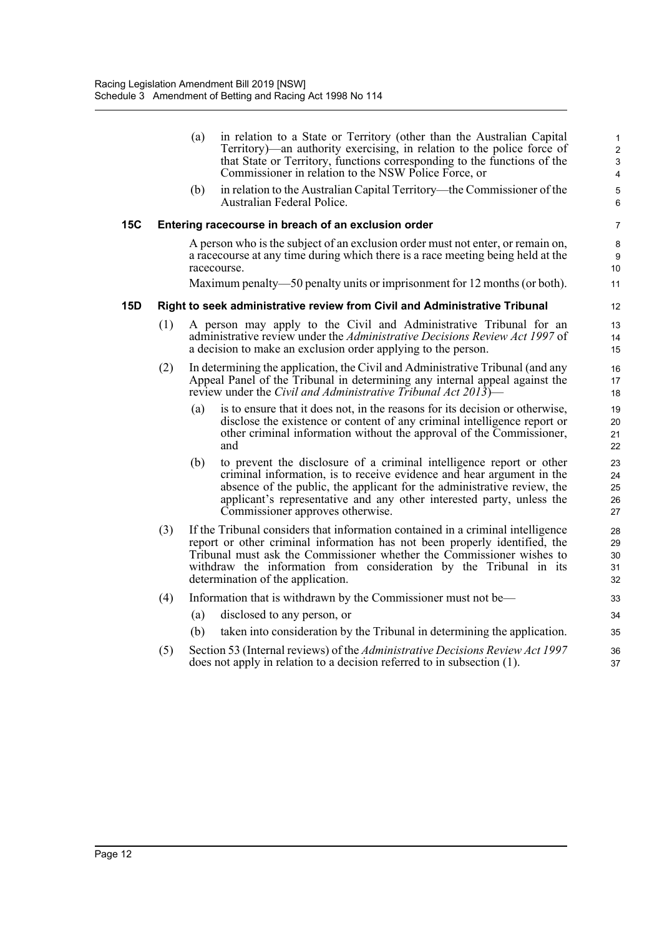|     |     | (a) | in relation to a State or Territory (other than the Australian Capital<br>Territory)—an authority exercising, in relation to the police force of<br>that State or Territory, functions corresponding to the functions of the<br>Commissioner in relation to the NSW Police Force, or                                                              | $\mathbf{1}$<br>$\overline{2}$<br>$\mathbf{3}$<br>4 |
|-----|-----|-----|---------------------------------------------------------------------------------------------------------------------------------------------------------------------------------------------------------------------------------------------------------------------------------------------------------------------------------------------------|-----------------------------------------------------|
|     |     | (b) | in relation to the Australian Capital Territory—the Commissioner of the<br>Australian Federal Police.                                                                                                                                                                                                                                             | $\overline{5}$<br>6                                 |
| 15C |     |     | Entering racecourse in breach of an exclusion order                                                                                                                                                                                                                                                                                               | 7                                                   |
|     |     |     | A person who is the subject of an exclusion order must not enter, or remain on,<br>a race course at any time during which there is a race meeting being held at the<br>racecourse.                                                                                                                                                                | 8<br>9<br>10                                        |
|     |     |     | Maximum penalty—50 penalty units or imprisonment for 12 months (or both).                                                                                                                                                                                                                                                                         | 11                                                  |
| 15D |     |     | Right to seek administrative review from Civil and Administrative Tribunal                                                                                                                                                                                                                                                                        | 12                                                  |
|     | (1) |     | A person may apply to the Civil and Administrative Tribunal for an<br>administrative review under the Administrative Decisions Review Act 1997 of<br>a decision to make an exclusion order applying to the person.                                                                                                                                | 13<br>14<br>15                                      |
|     | (2) |     | In determining the application, the Civil and Administrative Tribunal (and any<br>Appeal Panel of the Tribunal in determining any internal appeal against the<br>review under the Civil and Administrative Tribunal Act 2013)—                                                                                                                    | 16<br>17<br>18                                      |
|     |     | (a) | is to ensure that it does not, in the reasons for its decision or otherwise,<br>disclose the existence or content of any criminal intelligence report or<br>other criminal information without the approval of the Commissioner,<br>and                                                                                                           | 19<br>20<br>21<br>22                                |
|     |     | (b) | to prevent the disclosure of a criminal intelligence report or other<br>criminal information, is to receive evidence and hear argument in the<br>absence of the public, the applicant for the administrative review, the<br>applicant's representative and any other interested party, unless the<br>Commissioner approves otherwise.             | 23<br>24<br>25<br>26<br>27                          |
|     | (3) |     | If the Tribunal considers that information contained in a criminal intelligence<br>report or other criminal information has not been properly identified, the<br>Tribunal must ask the Commissioner whether the Commissioner wishes to<br>withdraw the information from consideration by the Tribunal in its<br>determination of the application. | 28<br>29<br>30<br>31<br>32                          |
|     | (4) |     | Information that is withdrawn by the Commissioner must not be—                                                                                                                                                                                                                                                                                    | 33                                                  |
|     |     | (a) | disclosed to any person, or                                                                                                                                                                                                                                                                                                                       | 34                                                  |
|     |     | (b) | taken into consideration by the Tribunal in determining the application.                                                                                                                                                                                                                                                                          | 35                                                  |
|     | (5) |     | Section 53 (Internal reviews) of the Administrative Decisions Review Act 1997<br>does not apply in relation to a decision referred to in subsection (1).                                                                                                                                                                                          | 36<br>37                                            |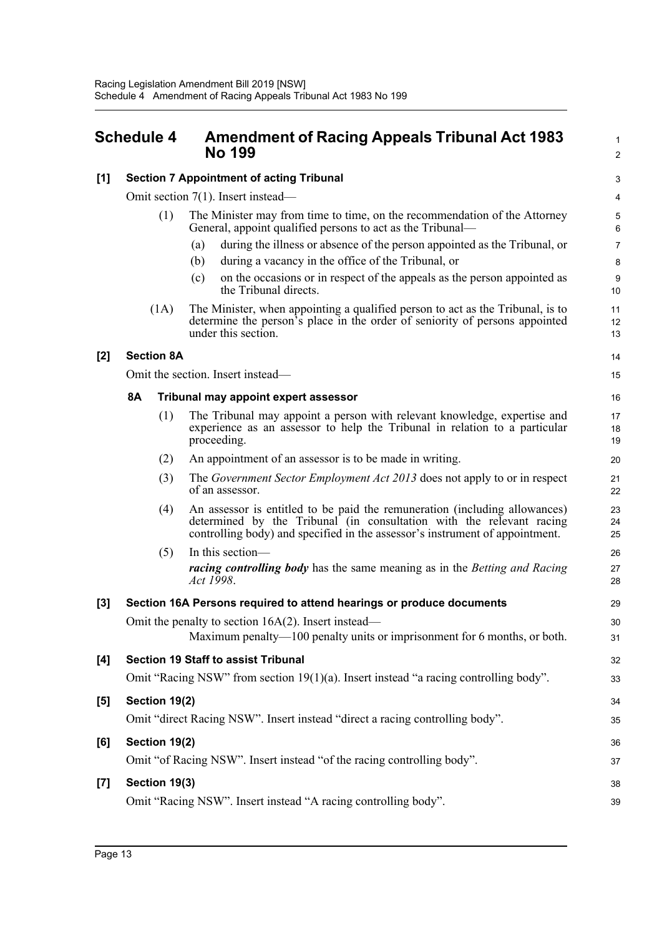### <span id="page-17-0"></span>**Schedule 4 Amendment of Racing Appeals Tribunal Act 1983 No 199**

| 1              |
|----------------|
| $\overline{2}$ |
| 3              |
| 4              |
| 5<br>6         |
| 7              |
| 8              |
| 9<br>10        |
| 11<br>12<br>13 |
| 14             |
| 15             |
| 16             |
| 17<br>18<br>19 |
| 20             |
| 21<br>22       |
| 23<br>24       |

29 30 31

32 33

38 39

#### **[1] Section 7 Appointment of acting Tribunal**

Omit section 7(1). Insert instead—

- (1) The Minister may from time to time, on the recommendation of the Attorney General, appoint qualified persons to act as the Tribunal—
	- (a) during the illness or absence of the person appointed as the Tribunal, or
	- (b) during a vacancy in the office of the Tribunal, or
	- (c) on the occasions or in respect of the appeals as the person appointed as the Tribunal directs.
- (1A) The Minister, when appointing a qualified person to act as the Tribunal, is to determine the person's place in the order of seniority of persons appointed under this section.

#### **[2] Section 8A**

Omit the section. Insert instead—

#### **8A Tribunal may appoint expert assessor**

| (1) | The Tribunal may appoint a person with relevant knowledge, expertise and<br>experience as an assessor to help the Tribunal in relation to a particular<br>proceeding. |
|-----|-----------------------------------------------------------------------------------------------------------------------------------------------------------------------|
| (2) | An appointment of an assessor is to be made in writing.                                                                                                               |

- (3) The *Government Sector Employment Act 2013* does not apply to or in respect of an assessor.
- (4) An assessor is entitled to be paid the remuneration (including allowances) determined by the Tribunal (in consultation with the relevant racing controlling body) and specified in the assessor's instrument of appointment.
- (5) In this section *racing controlling body* has the same meaning as in the *Betting and Racing Act 1998*.

## **[3] Section 16A Persons required to attend hearings or produce documents**

Omit the penalty to section 16A(2). Insert instead— Maximum penalty—100 penalty units or imprisonment for 6 months, or both.

## **[4] Section 19 Staff to assist Tribunal** Omit "Racing NSW" from section 19(1)(a). Insert instead "a racing controlling body".

#### **[5] Section 19(2)**

Omit "direct Racing NSW". Insert instead "direct a racing controlling body".

#### **[6] Section 19(2)**

Omit "of Racing NSW". Insert instead "of the racing controlling body".

#### **[7] Section 19(3)**

Omit "Racing NSW". Insert instead "A racing controlling body".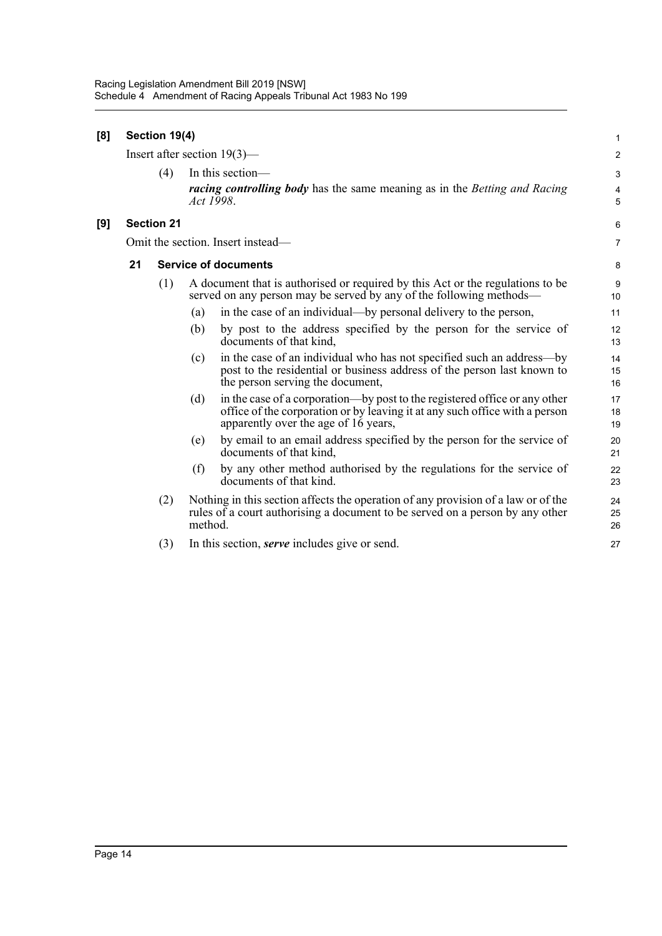| [8] | Section 19(4)                  |                   |                                                                                                                                                                                                          |                |  |  |
|-----|--------------------------------|-------------------|----------------------------------------------------------------------------------------------------------------------------------------------------------------------------------------------------------|----------------|--|--|
|     | Insert after section $19(3)$ — |                   |                                                                                                                                                                                                          |                |  |  |
|     |                                | (4)               | In this section-<br><i>racing controlling body</i> has the same meaning as in the <i>Betting and Racing</i><br>Act 1998.                                                                                 | 3<br>4<br>5    |  |  |
| [9] |                                | <b>Section 21</b> |                                                                                                                                                                                                          | 6              |  |  |
|     |                                |                   | Omit the section. Insert instead—                                                                                                                                                                        | $\overline{7}$ |  |  |
|     | 21                             |                   | <b>Service of documents</b>                                                                                                                                                                              | 8              |  |  |
|     |                                | (1)               | A document that is authorised or required by this Act or the regulations to be<br>served on any person may be served by any of the following methods—                                                    | 9<br>10        |  |  |
|     |                                |                   | in the case of an individual—by personal delivery to the person,<br>(a)                                                                                                                                  | 11             |  |  |
|     |                                |                   | by post to the address specified by the person for the service of<br>(b)<br>documents of that kind,                                                                                                      | 12<br>13       |  |  |
|     |                                |                   | in the case of an individual who has not specified such an address-by<br>(c)<br>post to the residential or business address of the person last known to<br>the person serving the document,              | 14<br>15<br>16 |  |  |
|     |                                |                   | in the case of a corporation—by post to the registered office or any other<br>(d)<br>office of the corporation or by leaving it at any such office with a person<br>apparently over the age of 16 years, | 17<br>18<br>19 |  |  |
|     |                                |                   | by email to an email address specified by the person for the service of<br>(e)<br>documents of that kind,                                                                                                | 20<br>21       |  |  |
|     |                                |                   | by any other method authorised by the regulations for the service of<br>(f)<br>documents of that kind.                                                                                                   | 22<br>23       |  |  |
|     |                                | (2)               | Nothing in this section affects the operation of any provision of a law or of the<br>rules of a court authorising a document to be served on a person by any other<br>method.                            | 24<br>25<br>26 |  |  |
|     |                                | (3)               | In this section, <i>serve</i> includes give or send.                                                                                                                                                     | 27             |  |  |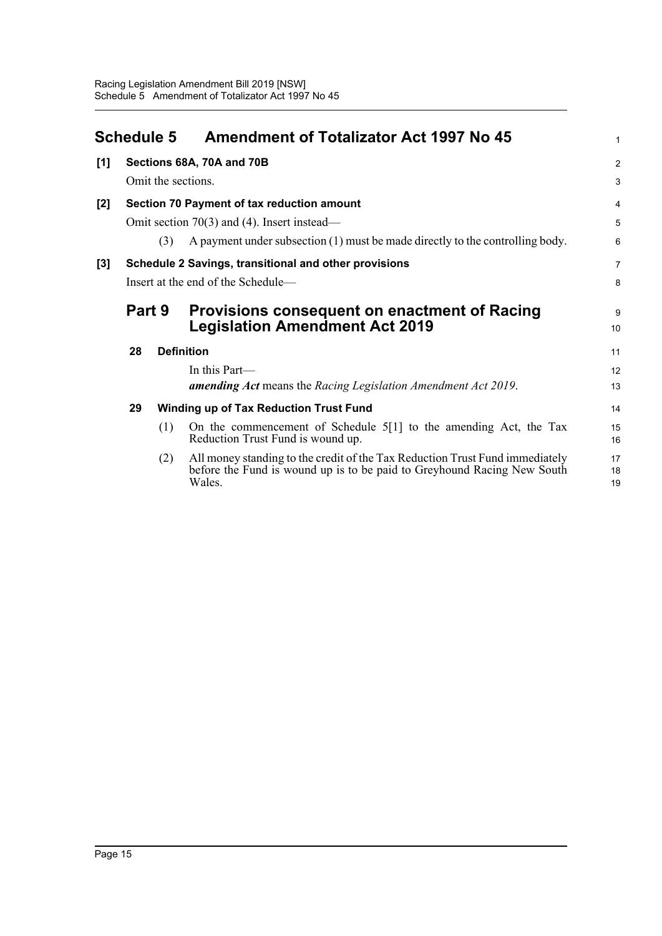<span id="page-19-0"></span>

|     | <b>Schedule 5</b>                             |     | <b>Amendment of Totalizator Act 1997 No 45</b>                                                                                                                    | 1              |  |
|-----|-----------------------------------------------|-----|-------------------------------------------------------------------------------------------------------------------------------------------------------------------|----------------|--|
| [1] |                                               |     | Sections 68A, 70A and 70B                                                                                                                                         | $\overline{2}$ |  |
|     | Omit the sections.                            |     |                                                                                                                                                                   |                |  |
| [2] | Section 70 Payment of tax reduction amount    |     |                                                                                                                                                                   |                |  |
|     | Omit section $70(3)$ and (4). Insert instead— |     |                                                                                                                                                                   |                |  |
|     |                                               | (3) | A payment under subsection (1) must be made directly to the controlling body.                                                                                     | 6              |  |
| [3] |                                               |     | Schedule 2 Savings, transitional and other provisions                                                                                                             | $\overline{7}$ |  |
|     |                                               |     | Insert at the end of the Schedule-                                                                                                                                | 8              |  |
|     | Part 9                                        |     | Provisions consequent on enactment of Racing<br><b>Legislation Amendment Act 2019</b>                                                                             | 9<br>10        |  |
|     | 28                                            |     | <b>Definition</b>                                                                                                                                                 | 11             |  |
|     |                                               |     | In this Part-                                                                                                                                                     | 12             |  |
|     |                                               |     | <b>amending Act</b> means the Racing Legislation Amendment Act 2019.                                                                                              | 13             |  |
|     | 29                                            |     | <b>Winding up of Tax Reduction Trust Fund</b>                                                                                                                     | 14             |  |
|     |                                               | (1) | On the commencement of Schedule $5[1]$ to the amending Act, the Tax<br>Reduction Trust Fund is wound up.                                                          | 15<br>16       |  |
|     |                                               | (2) | All money standing to the credit of the Tax Reduction Trust Fund immediately<br>before the Fund is wound up is to be paid to Greyhound Racing New South<br>Wales. | 17<br>18<br>19 |  |